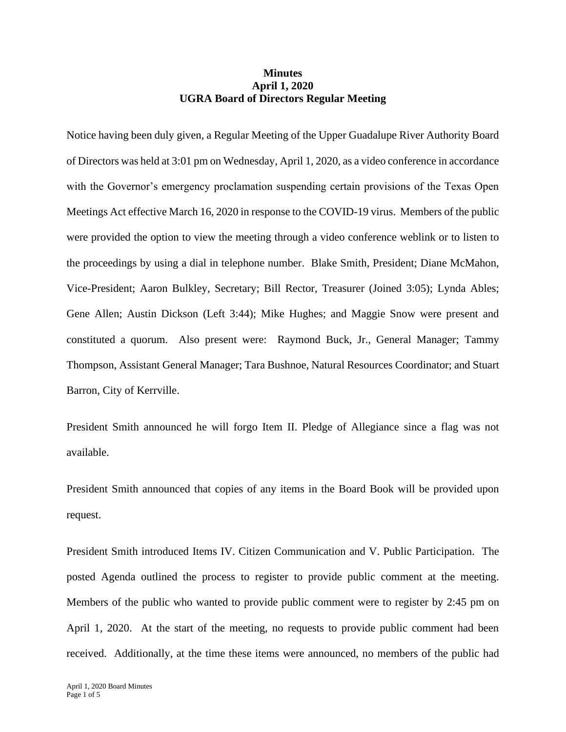## **Minutes April 1, 2020 UGRA Board of Directors Regular Meeting**

Notice having been duly given, a Regular Meeting of the Upper Guadalupe River Authority Board of Directors was held at 3:01 pm on Wednesday, April 1, 2020, as a video conference in accordance with the Governor's emergency proclamation suspending certain provisions of the Texas Open Meetings Act effective March 16, 2020 in response to the COVID-19 virus. Members of the public were provided the option to view the meeting through a video conference weblink or to listen to the proceedings by using a dial in telephone number. Blake Smith, President; Diane McMahon, Vice-President; Aaron Bulkley, Secretary; Bill Rector, Treasurer (Joined 3:05); Lynda Ables; Gene Allen; Austin Dickson (Left 3:44); Mike Hughes; and Maggie Snow were present and constituted a quorum. Also present were: Raymond Buck, Jr., General Manager; Tammy Thompson, Assistant General Manager; Tara Bushnoe, Natural Resources Coordinator; and Stuart Barron, City of Kerrville.

President Smith announced he will forgo Item II. Pledge of Allegiance since a flag was not available.

President Smith announced that copies of any items in the Board Book will be provided upon request.

President Smith introduced Items IV. Citizen Communication and V. Public Participation. The posted Agenda outlined the process to register to provide public comment at the meeting. Members of the public who wanted to provide public comment were to register by 2:45 pm on April 1, 2020. At the start of the meeting, no requests to provide public comment had been received. Additionally, at the time these items were announced, no members of the public had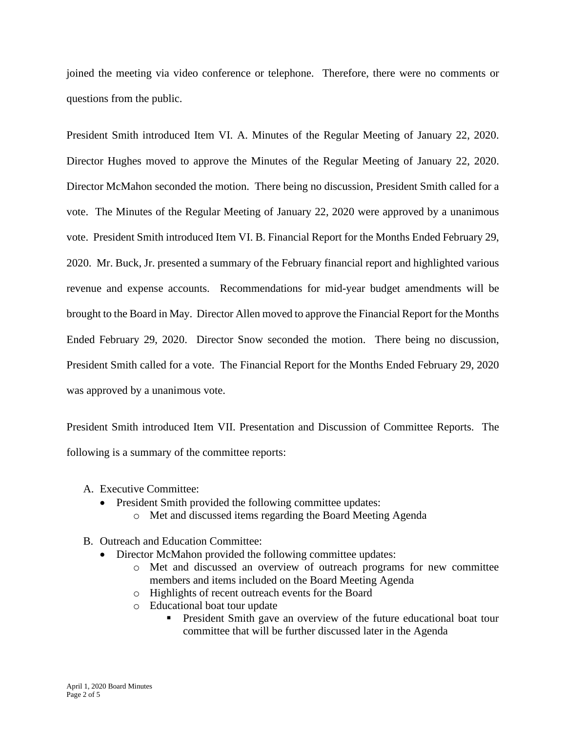joined the meeting via video conference or telephone. Therefore, there were no comments or questions from the public.

President Smith introduced Item VI. A. Minutes of the Regular Meeting of January 22, 2020. Director Hughes moved to approve the Minutes of the Regular Meeting of January 22, 2020. Director McMahon seconded the motion. There being no discussion, President Smith called for a vote. The Minutes of the Regular Meeting of January 22, 2020 were approved by a unanimous vote. President Smith introduced Item VI. B. Financial Report for the Months Ended February 29, 2020. Mr. Buck, Jr. presented a summary of the February financial report and highlighted various revenue and expense accounts. Recommendations for mid-year budget amendments will be brought to the Board in May. Director Allen moved to approve the Financial Report for the Months Ended February 29, 2020. Director Snow seconded the motion. There being no discussion, President Smith called for a vote. The Financial Report for the Months Ended February 29, 2020 was approved by a unanimous vote.

President Smith introduced Item VII. Presentation and Discussion of Committee Reports. The following is a summary of the committee reports:

- A. Executive Committee:
	- President Smith provided the following committee updates:
		- o Met and discussed items regarding the Board Meeting Agenda
- B. Outreach and Education Committee:
	- Director McMahon provided the following committee updates:
		- o Met and discussed an overview of outreach programs for new committee members and items included on the Board Meeting Agenda
		- o Highlights of recent outreach events for the Board
		- o Educational boat tour update
			- **•** President Smith gave an overview of the future educational boat tour committee that will be further discussed later in the Agenda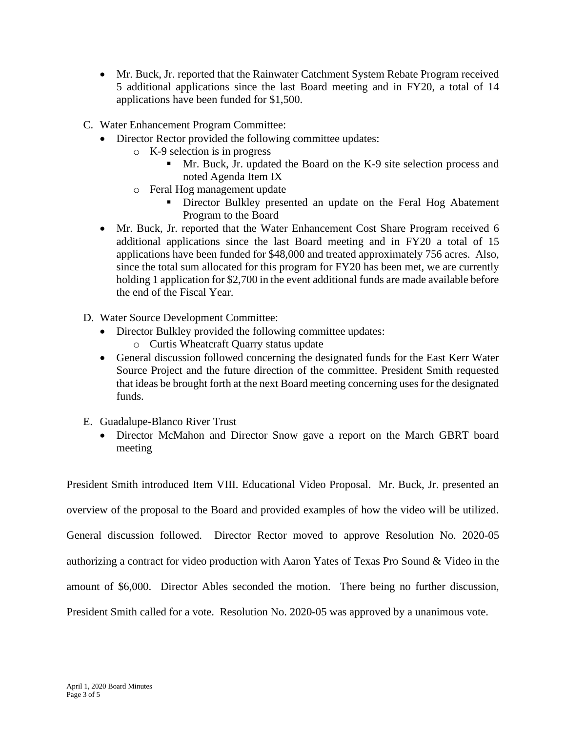- Mr. Buck, Jr. reported that the Rainwater Catchment System Rebate Program received 5 additional applications since the last Board meeting and in FY20, a total of 14 applications have been funded for \$1,500.
- C. Water Enhancement Program Committee:
	- Director Rector provided the following committee updates:
		- o K-9 selection is in progress
			- Mr. Buck, Jr. updated the Board on the K-9 site selection process and noted Agenda Item IX
		- o Feral Hog management update
			- **EXECUTE:** Director Bulkley presented an update on the Feral Hog Abatement Program to the Board
	- Mr. Buck, Jr. reported that the Water Enhancement Cost Share Program received 6 additional applications since the last Board meeting and in FY20 a total of 15 applications have been funded for \$48,000 and treated approximately 756 acres. Also, since the total sum allocated for this program for FY20 has been met, we are currently holding 1 application for \$2,700 in the event additional funds are made available before the end of the Fiscal Year.
- D. Water Source Development Committee:
	- Director Bulkley provided the following committee updates:
		- o Curtis Wheatcraft Quarry status update
	- General discussion followed concerning the designated funds for the East Kerr Water Source Project and the future direction of the committee. President Smith requested that ideas be brought forth at the next Board meeting concerning uses for the designated funds.
- E. Guadalupe-Blanco River Trust
	- Director McMahon and Director Snow gave a report on the March GBRT board meeting

President Smith introduced Item VIII. Educational Video Proposal. Mr. Buck, Jr. presented an overview of the proposal to the Board and provided examples of how the video will be utilized. General discussion followed. Director Rector moved to approve Resolution No. 2020-05 authorizing a contract for video production with Aaron Yates of Texas Pro Sound & Video in the amount of \$6,000. Director Ables seconded the motion. There being no further discussion, President Smith called for a vote. Resolution No. 2020-05 was approved by a unanimous vote.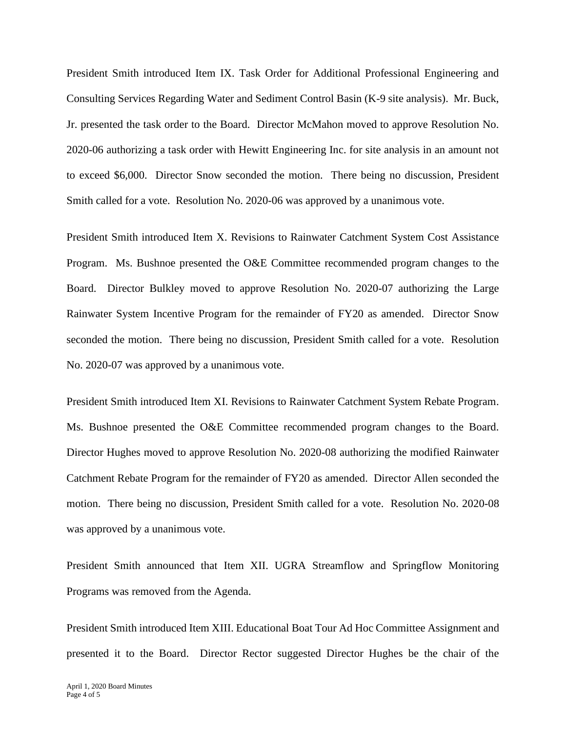President Smith introduced Item IX. Task Order for Additional Professional Engineering and Consulting Services Regarding Water and Sediment Control Basin (K-9 site analysis). Mr. Buck, Jr. presented the task order to the Board. Director McMahon moved to approve Resolution No. 2020-06 authorizing a task order with Hewitt Engineering Inc. for site analysis in an amount not to exceed \$6,000. Director Snow seconded the motion. There being no discussion, President Smith called for a vote. Resolution No. 2020-06 was approved by a unanimous vote.

President Smith introduced Item X. Revisions to Rainwater Catchment System Cost Assistance Program. Ms. Bushnoe presented the O&E Committee recommended program changes to the Board. Director Bulkley moved to approve Resolution No. 2020-07 authorizing the Large Rainwater System Incentive Program for the remainder of FY20 as amended. Director Snow seconded the motion. There being no discussion, President Smith called for a vote. Resolution No. 2020-07 was approved by a unanimous vote.

President Smith introduced Item XI. Revisions to Rainwater Catchment System Rebate Program. Ms. Bushnoe presented the O&E Committee recommended program changes to the Board. Director Hughes moved to approve Resolution No. 2020-08 authorizing the modified Rainwater Catchment Rebate Program for the remainder of FY20 as amended. Director Allen seconded the motion. There being no discussion, President Smith called for a vote. Resolution No. 2020-08 was approved by a unanimous vote.

President Smith announced that Item XII. UGRA Streamflow and Springflow Monitoring Programs was removed from the Agenda.

President Smith introduced Item XIII. Educational Boat Tour Ad Hoc Committee Assignment and presented it to the Board. Director Rector suggested Director Hughes be the chair of the